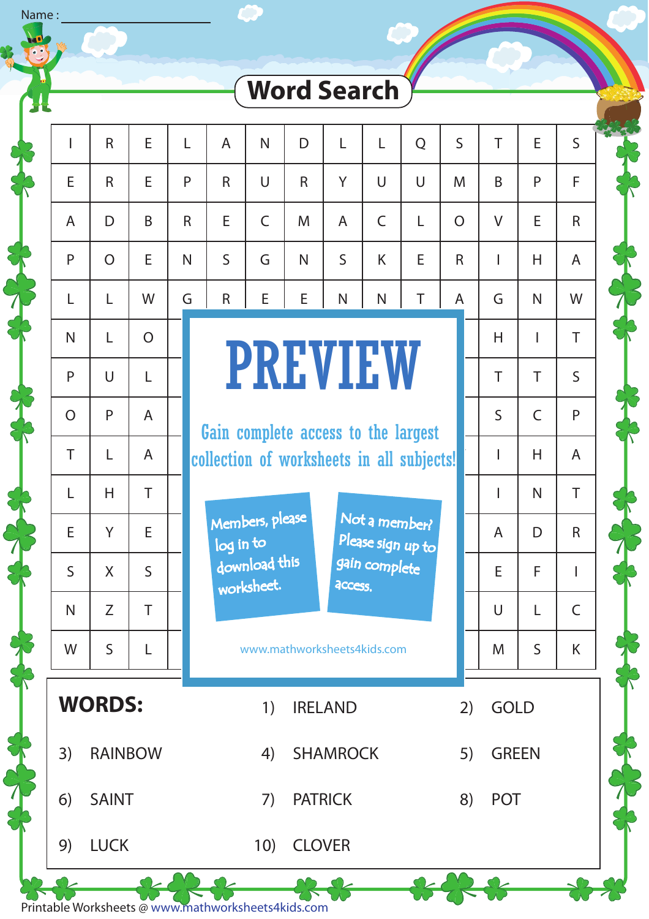

Printable Worksheets @ www.mathworksheets4kids.com

Name :